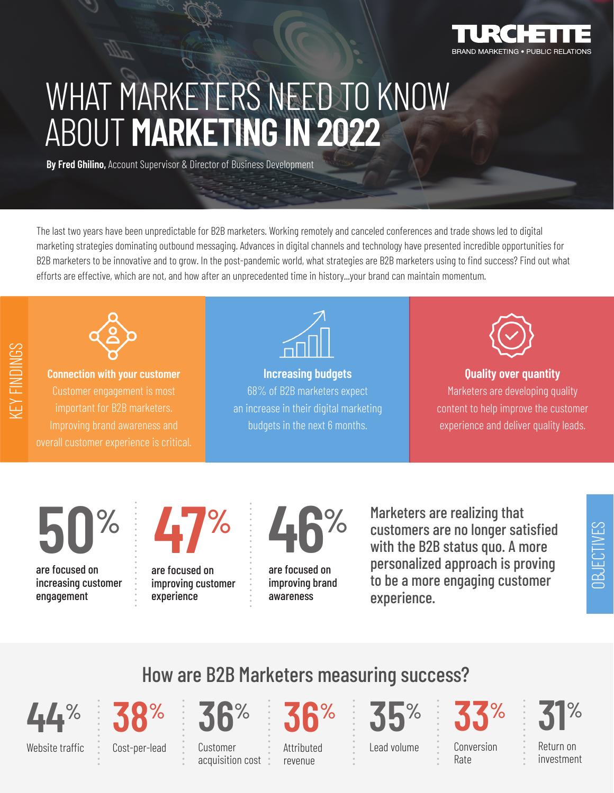

## WHAT MARKETERS NEED TO KNOW ABOUT **MARKETING IN 2022**

**By Fred Ghilino,** Account Supervisor & Director of Business Development

The last two years have been unpredictable for B2B marketers. Working remotely and canceled conferences and trade shows led to digital marketing strategies dominating outbound messaging. Advances in digital channels and technology have presented incredible opportunities for B2B marketers to be innovative and to grow. In the post-pandemic world, what strategies are B2B marketers using to find success? Find out what efforts are effective, which are not, and how after an unprecedented time in history...your brand can maintain momentum.



**Connection with your customer** important for B2B marketers. Improving brand awareness and



**Increasing budgets** 68% of B2B marketers expect an increase in their digital marketing budgets in the next 6 months.



## **Quality over quantity** Marketers are developing quality content to help improve the customer experience and deliver quality leads.

**50%** are focused on increasing customer

engagement

**47%**

are focused on improving customer experience

............



are focused on improving brand awareness

.................

Marketers are realizing that customers are no longer satisfied with the B2B status quo. A more personalized approach is proving to be a more engaging customer experience.



Website traffic

**38%**

............

....................

Cost-per-lead

Customer acquisition cost

**36%**

**36%**

Attributed revenue

............

**35%**

Lead volume

............

Conversion Rate **33%**

............

Return on **31%**

............

OBJECTIVES

**JBJECTIVES** 

investment